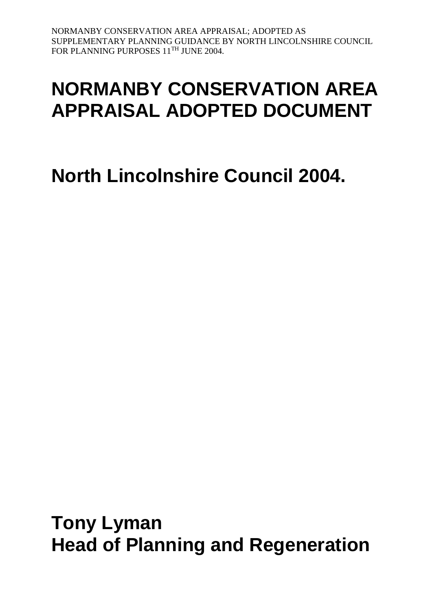# **NORMANBY CONSERVATION AREA APPRAISAL ADOPTED DOCUMENT**

# **North Lincolnshire Council 2004.**

**Tony Lyman Head of Planning and Regeneration**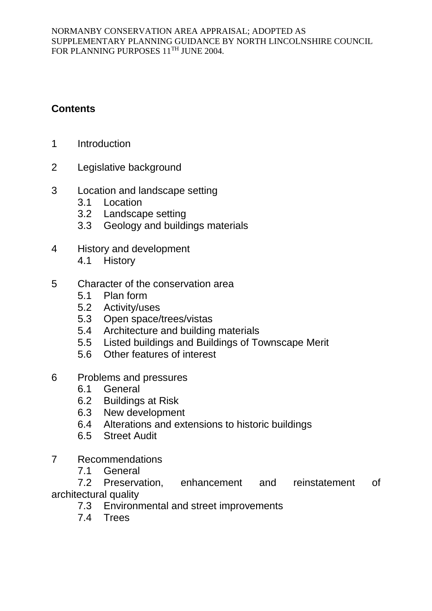# **Contents**

- 1 Introduction
- 2 Legislative background
- 3 Location and landscape setting
	- 3.1 Location
	- 3.2 Landscape setting
	- 3.3 Geology and buildings materials
- 4 History and development
	- 4.1 History
- 5 Character of the conservation area
	- 5.1 Plan form
	- 5.2 Activity/uses
	- 5.3 Open space/trees/vistas
	- 5.4 Architecture and building materials
	- 5.5 Listed buildings and Buildings of Townscape Merit
	- 5.6 Other features of interest
- 6 Problems and pressures
	- 6.1 General
	- 6.2 Buildings at Risk
	- 6.3 New development
	- 6.4 Alterations and extensions to historic buildings
	- 6.5 Street Audit
- 7 Recommendations
	- 7.1 General

7.2 Preservation, enhancement and reinstatement of architectural quality

- 7.3 Environmental and street improvements
- 7.4 Trees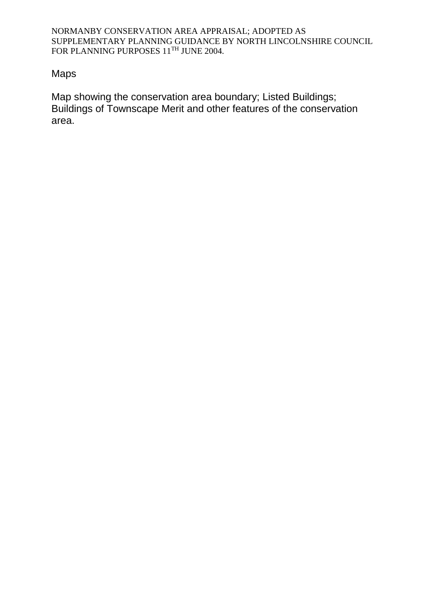#### Maps

Map showing the conservation area boundary; Listed Buildings; Buildings of Townscape Merit and other features of the conservation area.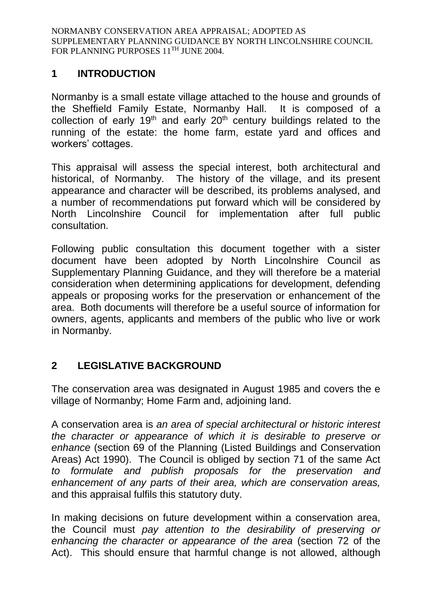# **1 INTRODUCTION**

Normanby is a small estate village attached to the house and grounds of the Sheffield Family Estate, Normanby Hall. It is composed of a collection of early  $19<sup>th</sup>$  and early  $20<sup>th</sup>$  century buildings related to the running of the estate: the home farm, estate yard and offices and workers' cottages.

This appraisal will assess the special interest, both architectural and historical, of Normanby. The history of the village, and its present appearance and character will be described, its problems analysed, and a number of recommendations put forward which will be considered by North Lincolnshire Council for implementation after full public consultation.

Following public consultation this document together with a sister document have been adopted by North Lincolnshire Council as Supplementary Planning Guidance, and they will therefore be a material consideration when determining applications for development, defending appeals or proposing works for the preservation or enhancement of the area. Both documents will therefore be a useful source of information for owners, agents, applicants and members of the public who live or work in Normanby.

# **2 LEGISLATIVE BACKGROUND**

The conservation area was designated in August 1985 and covers the e village of Normanby; Home Farm and, adjoining land.

A conservation area is *an area of special architectural or historic interest the character or appearance of which it is desirable to preserve or enhance* (section 69 of the Planning (Listed Buildings and Conservation Areas) Act 1990). The Council is obliged by section 71 of the same Act *to formulate and publish proposals for the preservation and enhancement of any parts of their area, which are conservation areas,*  and this appraisal fulfils this statutory duty.

In making decisions on future development within a conservation area, the Council must *pay attention to the desirability of preserving or enhancing the character or appearance of the area* (section 72 of the Act). This should ensure that harmful change is not allowed, although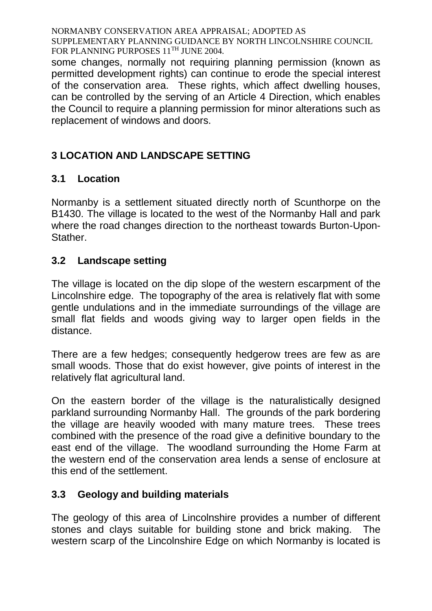some changes, normally not requiring planning permission (known as permitted development rights) can continue to erode the special interest of the conservation area. These rights, which affect dwelling houses, can be controlled by the serving of an Article 4 Direction, which enables the Council to require a planning permission for minor alterations such as replacement of windows and doors.

# **3 LOCATION AND LANDSCAPE SETTING**

# **3.1 Location**

Normanby is a settlement situated directly north of Scunthorpe on the B1430. The village is located to the west of the Normanby Hall and park where the road changes direction to the northeast towards Burton-Upon-Stather.

# **3.2 Landscape setting**

The village is located on the dip slope of the western escarpment of the Lincolnshire edge. The topography of the area is relatively flat with some gentle undulations and in the immediate surroundings of the village are small flat fields and woods giving way to larger open fields in the distance.

There are a few hedges; consequently hedgerow trees are few as are small woods. Those that do exist however, give points of interest in the relatively flat agricultural land.

On the eastern border of the village is the naturalistically designed parkland surrounding Normanby Hall. The grounds of the park bordering the village are heavily wooded with many mature trees. These trees combined with the presence of the road give a definitive boundary to the east end of the village. The woodland surrounding the Home Farm at the western end of the conservation area lends a sense of enclosure at this end of the settlement.

# **3.3 Geology and building materials**

The geology of this area of Lincolnshire provides a number of different stones and clays suitable for building stone and brick making. The western scarp of the Lincolnshire Edge on which Normanby is located is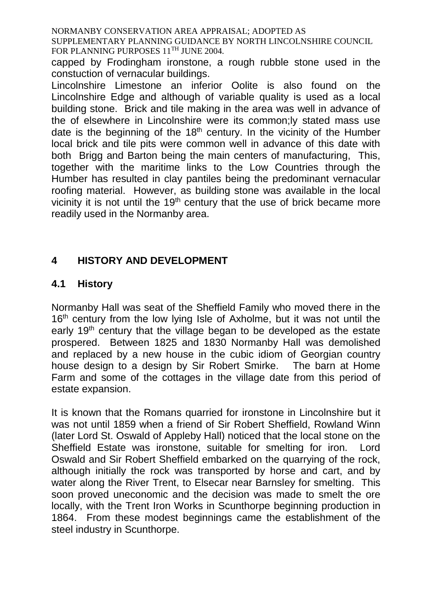capped by Frodingham ironstone, a rough rubble stone used in the constuction of vernacular buildings.

Lincolnshire Limestone an inferior Oolite is also found on the Lincolnshire Edge and although of variable quality is used as a local building stone. Brick and tile making in the area was well in advance of the of elsewhere in Lincolnshire were its common;ly stated mass use date is the beginning of the  $18<sup>th</sup>$  century. In the vicinity of the Humber local brick and tile pits were common well in advance of this date with both Brigg and Barton being the main centers of manufacturing, This, together with the maritime links to the Low Countries through the Humber has resulted in clay pantiles being the predominant vernacular roofing material. However, as building stone was available in the local vicinity it is not until the  $19<sup>th</sup>$  century that the use of brick became more readily used in the Normanby area.

# **4 HISTORY AND DEVELOPMENT**

#### **4.1 History**

Normanby Hall was seat of the Sheffield Family who moved there in the 16<sup>th</sup> century from the low lying Isle of Axholme, but it was not until the early 19<sup>th</sup> century that the village began to be developed as the estate prospered. Between 1825 and 1830 Normanby Hall was demolished and replaced by a new house in the cubic idiom of Georgian country house design to a design by Sir Robert Smirke. The barn at Home Farm and some of the cottages in the village date from this period of estate expansion.

It is known that the Romans quarried for ironstone in Lincolnshire but it was not until 1859 when a friend of Sir Robert Sheffield, Rowland Winn (later Lord St. Oswald of Appleby Hall) noticed that the local stone on the Sheffield Estate was ironstone, suitable for smelting for iron. Lord Oswald and Sir Robert Sheffield embarked on the quarrying of the rock, although initially the rock was transported by horse and cart, and by water along the River Trent, to Elsecar near Barnsley for smelting. This soon proved uneconomic and the decision was made to smelt the ore locally, with the Trent Iron Works in Scunthorpe beginning production in 1864. From these modest beginnings came the establishment of the steel industry in Scunthorpe.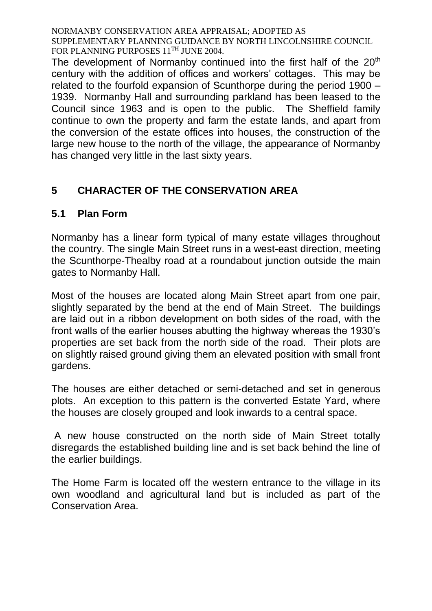The development of Normanby continued into the first half of the 20<sup>th</sup> century with the addition of offices and workers' cottages. This may be related to the fourfold expansion of Scunthorpe during the period 1900 – 1939. Normanby Hall and surrounding parkland has been leased to the Council since 1963 and is open to the public. The Sheffield family continue to own the property and farm the estate lands, and apart from the conversion of the estate offices into houses, the construction of the large new house to the north of the village, the appearance of Normanby has changed very little in the last sixty years.

# **5 CHARACTER OF THE CONSERVATION AREA**

#### **5.1 Plan Form**

Normanby has a linear form typical of many estate villages throughout the country. The single Main Street runs in a west-east direction, meeting the Scunthorpe-Thealby road at a roundabout junction outside the main gates to Normanby Hall.

Most of the houses are located along Main Street apart from one pair, slightly separated by the bend at the end of Main Street. The buildings are laid out in a ribbon development on both sides of the road, with the front walls of the earlier houses abutting the highway whereas the 1930's properties are set back from the north side of the road. Their plots are on slightly raised ground giving them an elevated position with small front gardens.

The houses are either detached or semi-detached and set in generous plots. An exception to this pattern is the converted Estate Yard, where the houses are closely grouped and look inwards to a central space.

A new house constructed on the north side of Main Street totally disregards the established building line and is set back behind the line of the earlier buildings.

The Home Farm is located off the western entrance to the village in its own woodland and agricultural land but is included as part of the Conservation Area.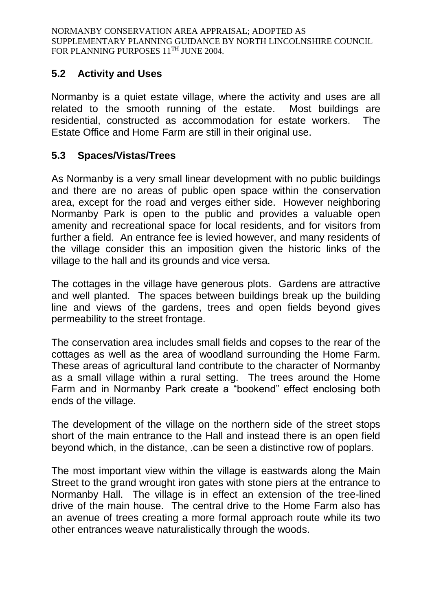# **5.2 Activity and Uses**

Normanby is a quiet estate village, where the activity and uses are all related to the smooth running of the estate. Most buildings are residential, constructed as accommodation for estate workers. The Estate Office and Home Farm are still in their original use.

### **5.3 Spaces/Vistas/Trees**

As Normanby is a very small linear development with no public buildings and there are no areas of public open space within the conservation area, except for the road and verges either side. However neighboring Normanby Park is open to the public and provides a valuable open amenity and recreational space for local residents, and for visitors from further a field. An entrance fee is levied however, and many residents of the village consider this an imposition given the historic links of the village to the hall and its grounds and vice versa.

The cottages in the village have generous plots. Gardens are attractive and well planted. The spaces between buildings break up the building line and views of the gardens, trees and open fields beyond gives permeability to the street frontage.

The conservation area includes small fields and copses to the rear of the cottages as well as the area of woodland surrounding the Home Farm. These areas of agricultural land contribute to the character of Normanby as a small village within a rural setting. The trees around the Home Farm and in Normanby Park create a "bookend" effect enclosing both ends of the village.

The development of the village on the northern side of the street stops short of the main entrance to the Hall and instead there is an open field beyond which, in the distance, .can be seen a distinctive row of poplars.

The most important view within the village is eastwards along the Main Street to the grand wrought iron gates with stone piers at the entrance to Normanby Hall. The village is in effect an extension of the tree-lined drive of the main house. The central drive to the Home Farm also has an avenue of trees creating a more formal approach route while its two other entrances weave naturalistically through the woods.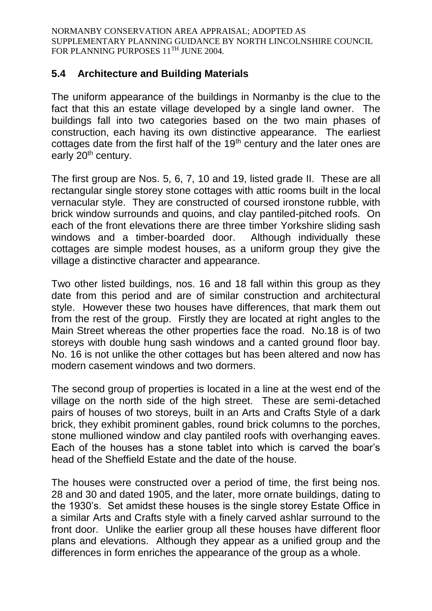#### **5.4 Architecture and Building Materials**

The uniform appearance of the buildings in Normanby is the clue to the fact that this an estate village developed by a single land owner. The buildings fall into two categories based on the two main phases of construction, each having its own distinctive appearance. The earliest cottages date from the first half of the 19<sup>th</sup> century and the later ones are early 20<sup>th</sup> century.

The first group are Nos. 5, 6, 7, 10 and 19, listed grade II. These are all rectangular single storey stone cottages with attic rooms built in the local vernacular style. They are constructed of coursed ironstone rubble, with brick window surrounds and quoins, and clay pantiled-pitched roofs. On each of the front elevations there are three timber Yorkshire sliding sash windows and a timber-boarded door. Although individually these cottages are simple modest houses, as a uniform group they give the village a distinctive character and appearance.

Two other listed buildings, nos. 16 and 18 fall within this group as they date from this period and are of similar construction and architectural style. However these two houses have differences, that mark them out from the rest of the group. Firstly they are located at right angles to the Main Street whereas the other properties face the road. No.18 is of two storeys with double hung sash windows and a canted ground floor bay. No. 16 is not unlike the other cottages but has been altered and now has modern casement windows and two dormers.

The second group of properties is located in a line at the west end of the village on the north side of the high street. These are semi-detached pairs of houses of two storeys, built in an Arts and Crafts Style of a dark brick, they exhibit prominent gables, round brick columns to the porches, stone mullioned window and clay pantiled roofs with overhanging eaves. Each of the houses has a stone tablet into which is carved the boar's head of the Sheffield Estate and the date of the house.

The houses were constructed over a period of time, the first being nos. 28 and 30 and dated 1905, and the later, more ornate buildings, dating to the 1930's. Set amidst these houses is the single storey Estate Office in a similar Arts and Crafts style with a finely carved ashlar surround to the front door. Unlike the earlier group all these houses have different floor plans and elevations. Although they appear as a unified group and the differences in form enriches the appearance of the group as a whole.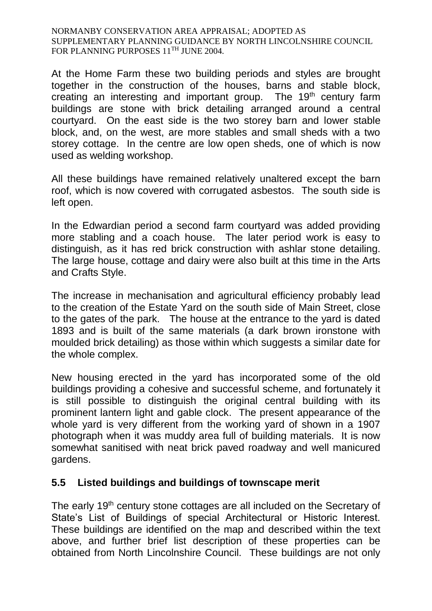At the Home Farm these two building periods and styles are brought together in the construction of the houses, barns and stable block, creating an interesting and important group. The 19<sup>th</sup> century farm buildings are stone with brick detailing arranged around a central courtyard. On the east side is the two storey barn and lower stable block, and, on the west, are more stables and small sheds with a two storey cottage. In the centre are low open sheds, one of which is now used as welding workshop.

All these buildings have remained relatively unaltered except the barn roof, which is now covered with corrugated asbestos. The south side is left open.

In the Edwardian period a second farm courtyard was added providing more stabling and a coach house. The later period work is easy to distinguish, as it has red brick construction with ashlar stone detailing. The large house, cottage and dairy were also built at this time in the Arts and Crafts Style.

The increase in mechanisation and agricultural efficiency probably lead to the creation of the Estate Yard on the south side of Main Street, close to the gates of the park. The house at the entrance to the yard is dated 1893 and is built of the same materials (a dark brown ironstone with moulded brick detailing) as those within which suggests a similar date for the whole complex.

New housing erected in the yard has incorporated some of the old buildings providing a cohesive and successful scheme, and fortunately it is still possible to distinguish the original central building with its prominent lantern light and gable clock. The present appearance of the whole yard is very different from the working yard of shown in a 1907 photograph when it was muddy area full of building materials. It is now somewhat sanitised with neat brick paved roadway and well manicured gardens.

#### **5.5 Listed buildings and buildings of townscape merit**

The early 19<sup>th</sup> century stone cottages are all included on the Secretary of State's List of Buildings of special Architectural or Historic Interest. These buildings are identified on the map and described within the text above, and further brief list description of these properties can be obtained from North Lincolnshire Council. These buildings are not only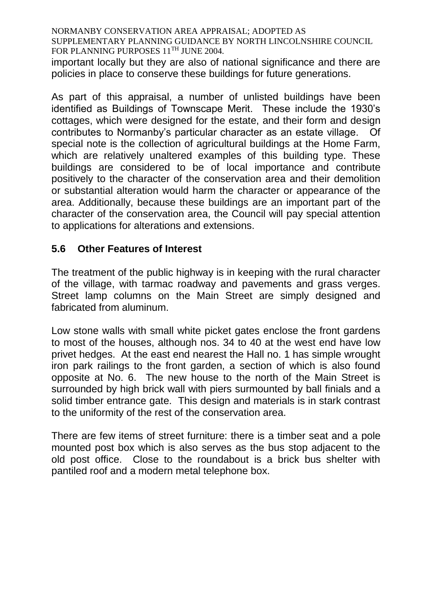important locally but they are also of national significance and there are policies in place to conserve these buildings for future generations.

As part of this appraisal, a number of unlisted buildings have been identified as Buildings of Townscape Merit. These include the 1930's cottages, which were designed for the estate, and their form and design contributes to Normanby's particular character as an estate village. Of special note is the collection of agricultural buildings at the Home Farm, which are relatively unaltered examples of this building type. These buildings are considered to be of local importance and contribute positively to the character of the conservation area and their demolition or substantial alteration would harm the character or appearance of the area. Additionally, because these buildings are an important part of the character of the conservation area, the Council will pay special attention to applications for alterations and extensions.

#### **5.6 Other Features of Interest**

The treatment of the public highway is in keeping with the rural character of the village, with tarmac roadway and pavements and grass verges. Street lamp columns on the Main Street are simply designed and fabricated from aluminum.

Low stone walls with small white picket gates enclose the front gardens to most of the houses, although nos. 34 to 40 at the west end have low privet hedges. At the east end nearest the Hall no. 1 has simple wrought iron park railings to the front garden, a section of which is also found opposite at No. 6. The new house to the north of the Main Street is surrounded by high brick wall with piers surmounted by ball finials and a solid timber entrance gate. This design and materials is in stark contrast to the uniformity of the rest of the conservation area.

There are few items of street furniture: there is a timber seat and a pole mounted post box which is also serves as the bus stop adjacent to the old post office. Close to the roundabout is a brick bus shelter with pantiled roof and a modern metal telephone box.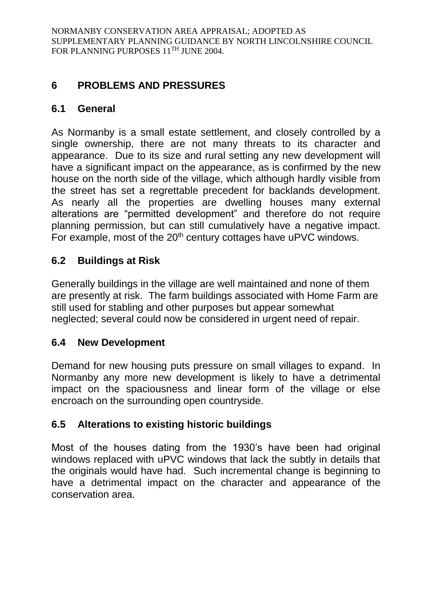# **6 PROBLEMS AND PRESSURES**

### **6.1 General**

As Normanby is a small estate settlement, and closely controlled by a single ownership, there are not many threats to its character and appearance. Due to its size and rural setting any new development will have a significant impact on the appearance, as is confirmed by the new house on the north side of the village, which although hardly visible from the street has set a regrettable precedent for backlands development. As nearly all the properties are dwelling houses many external alterations are "permitted development" and therefore do not require planning permission, but can still cumulatively have a negative impact. For example, most of the 20<sup>th</sup> century cottages have uPVC windows.

# **6.2 Buildings at Risk**

Generally buildings in the village are well maintained and none of them are presently at risk. The farm buildings associated with Home Farm are still used for stabling and other purposes but appear somewhat neglected; several could now be considered in urgent need of repair.

#### **6.4 New Development**

Demand for new housing puts pressure on small villages to expand. In Normanby any more new development is likely to have a detrimental impact on the spaciousness and linear form of the village or else encroach on the surrounding open countryside.

#### **6.5 Alterations to existing historic buildings**

Most of the houses dating from the 1930's have been had original windows replaced with uPVC windows that lack the subtly in details that the originals would have had. Such incremental change is beginning to have a detrimental impact on the character and appearance of the conservation area.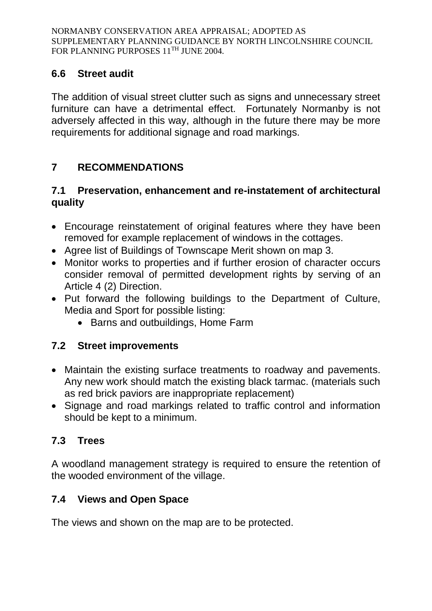### **6.6 Street audit**

The addition of visual street clutter such as signs and unnecessary street furniture can have a detrimental effect. Fortunately Normanby is not adversely affected in this way, although in the future there may be more requirements for additional signage and road markings.

# **7 RECOMMENDATIONS**

#### **7.1 Preservation, enhancement and re-instatement of architectural quality**

- Encourage reinstatement of original features where they have been removed for example replacement of windows in the cottages.
- Agree list of Buildings of Townscape Merit shown on map 3.
- Monitor works to properties and if further erosion of character occurs consider removal of permitted development rights by serving of an Article 4 (2) Direction.
- Put forward the following buildings to the Department of Culture, Media and Sport for possible listing:
	- Barns and outbuildings, Home Farm

# **7.2 Street improvements**

- Maintain the existing surface treatments to roadway and pavements. Any new work should match the existing black tarmac. (materials such as red brick paviors are inappropriate replacement)
- Signage and road markings related to traffic control and information should be kept to a minimum.

# **7.3 Trees**

A woodland management strategy is required to ensure the retention of the wooded environment of the village.

# **7.4 Views and Open Space**

The views and shown on the map are to be protected.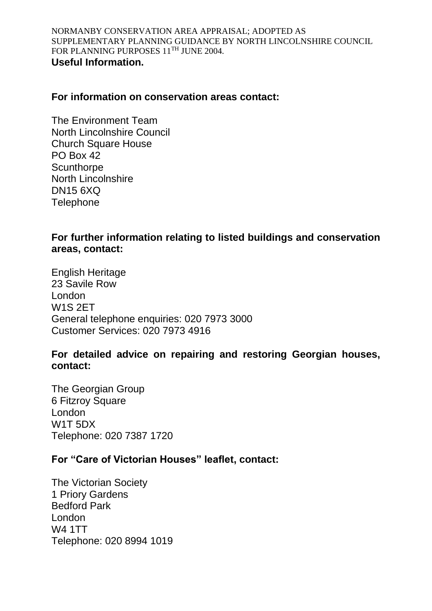#### **For information on conservation areas contact:**

The Environment Team North Lincolnshire Council Church Square House PO Box 42 **Scunthorpe** North Lincolnshire DN15 6XQ **Telephone** 

### **For further information relating to listed buildings and conservation areas, contact:**

English Heritage 23 Savile Row London W1S 2ET General telephone enquiries: 020 7973 3000 Customer Services: 020 7973 4916

#### **For detailed advice on repairing and restoring Georgian houses, contact:**

The Georgian Group 6 Fitzroy Square London W1T 5DX Telephone: 020 7387 1720

### **For "Care of Victorian Houses" leaflet, contact:**

The Victorian Society 1 Priory Gardens Bedford Park London W4 1TT Telephone: 020 8994 1019